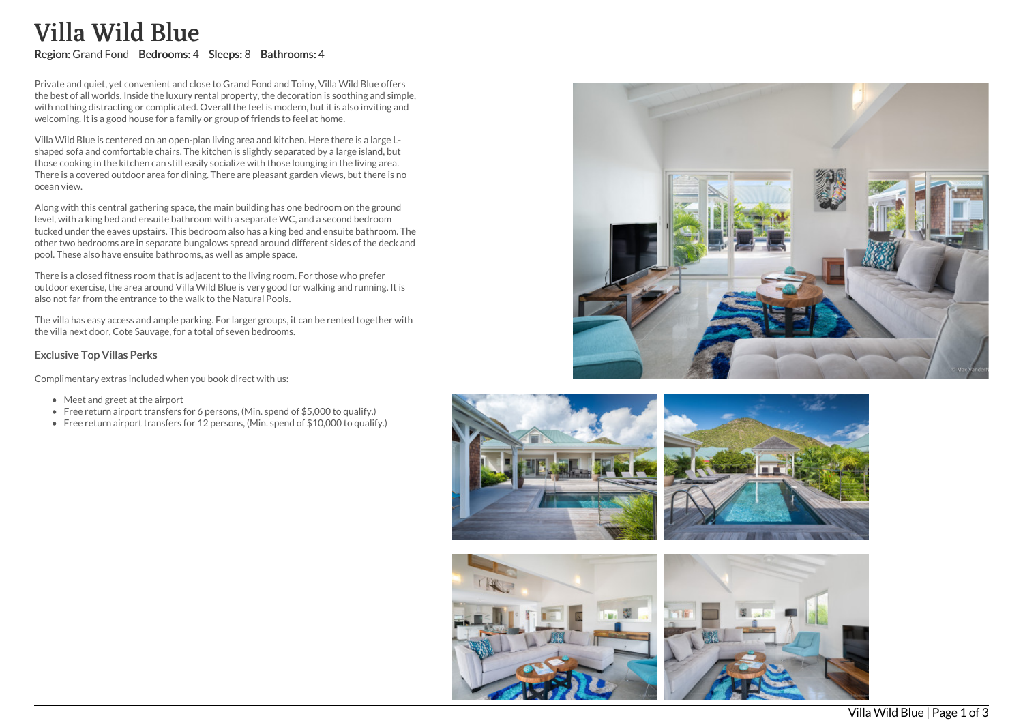## Villa Wild Blue

## Region: Grand Fond Bedrooms: 4 Sleeps: 8 Bathrooms: 4

Private and quiet, yet convenient and close to Grand Fond and Toiny, Villa Wild Blue offers the best of all worlds. Inside the luxury rental property, the decoration is soothing and simple, with nothing distracting or complicated. Overall the feel is modern, but it is also inviting and welcoming. It is a good house for a family or group of friends to feel at home.

Villa Wild Blue is centered on an open-plan living area and kitchen. Here there is a large Lshaped sofa and comfortable chairs. The kitchen is slightly separated by a large island, but those cooking in the kitchen can still easily socialize with those lounging in the living area. There is a covered outdoor area for dining. There are pleasant garden views, but there is no ocean view.

Along with this central gathering space, the main building has one bedroom on the ground level, with a king bed and ensuite bathroom with a separate WC, and a second bedroom tucked under the eaves upstairs. This bedroom also has a king bed and ensuite bathroom. The other two bedrooms are in separate bungalows spread around different sides of the deck and pool. These also have ensuite bathrooms, as well as ample space.

There is a closed fitness room that is adjacent to the living room. For those who prefer outdoor exercise, the area around Villa Wild Blue is very good for walking and running. It is also not far from the entrance to the walk to the Natural Pools.

The villa has easy access and ample parking. For larger groups, it can be rented together with the villa next door, Cote Sauvage, for a total of seven bedrooms.

## Exclusive Top Villas Perks

Complimentary extras included when you book direct with us:

- Meet and greet at the airport
- Free return airport transfers for 6 persons, (Min. spend of \$5,000 to qualify.)
- Free return airport transfers for 12 persons, (Min. spend of \$10,000 to qualify.)





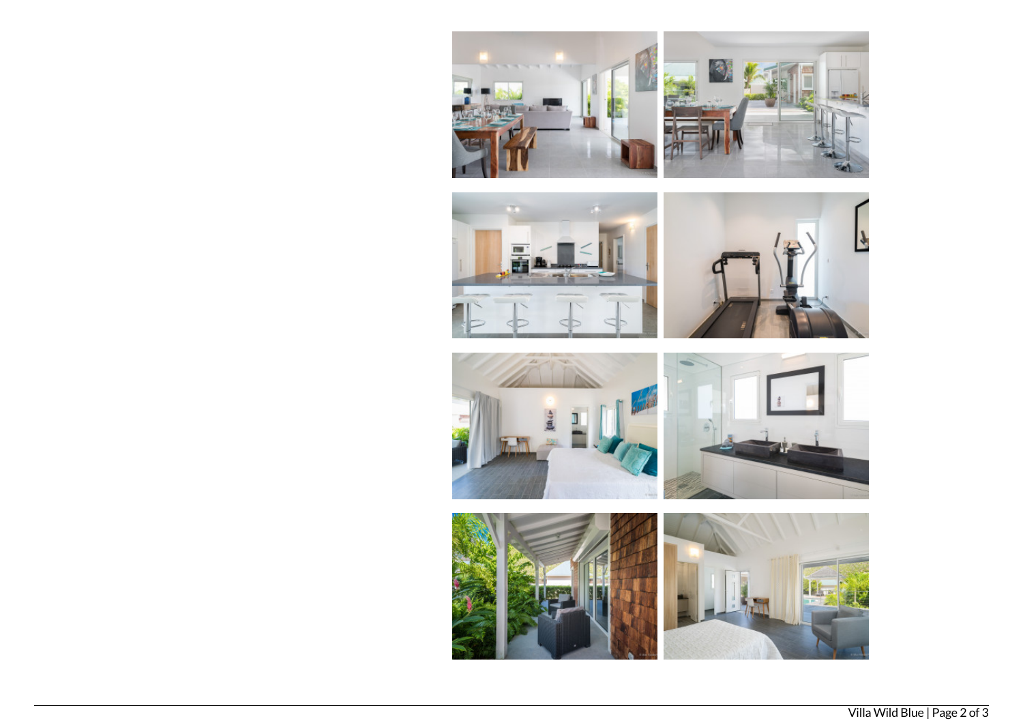